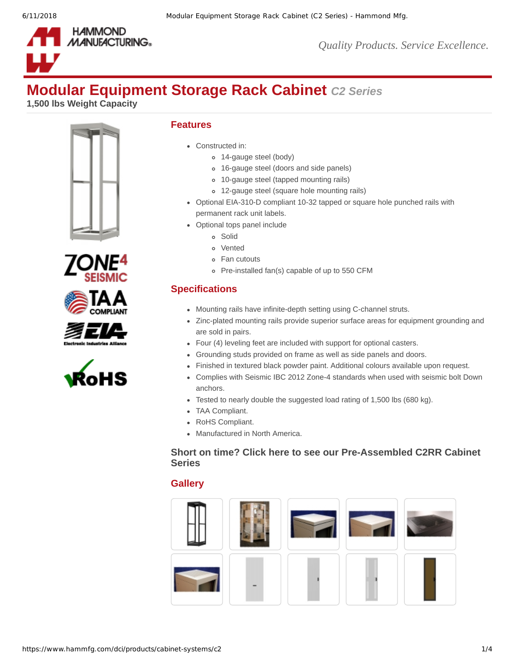

# **Modular Equipment Storage Rack Cabinet** *C2 Series*

**1,500 lbs Weight Capacity**











# **Features**

- Constructed in:
	- 14-gauge steel (body)
	- 16-gauge steel (doors and side panels)
	- 10-gauge steel (tapped mounting rails)
	- 12-gauge steel (square hole mounting rails)
- Optional EIA-310-D compliant 10-32 tapped or square hole punched rails with permanent rack unit labels.
- Optional tops panel include
	- Solid
	- Vented
	- Fan cutouts
	- Pre-installed fan(s) capable of up to 550 CFM

# **Specifications**

- Mounting rails have infinite-depth setting using C-channel struts.
- Zinc-plated mounting rails provide superior surface areas for equipment grounding and are sold in pairs.
- Four (4) leveling feet are included with support for optional casters.
- Grounding studs provided on frame as well as side panels and doors.
- Finished in textured black powder paint. Additional colours available upon request.
- Complies with Seismic IBC 2012 Zone-4 standards when used with seismic bolt Down anchors.
- Tested to nearly double the suggested load rating of 1,500 lbs (680 kg).
- TAA Compliant.
- RoHS Compliant.
- Manufactured in North America.

### **Short on time? Click here to see our [Pre-Assembled](https://www.hammfg.com/product/c2rr) C2RR Cabinet Series**

# **Gallery**

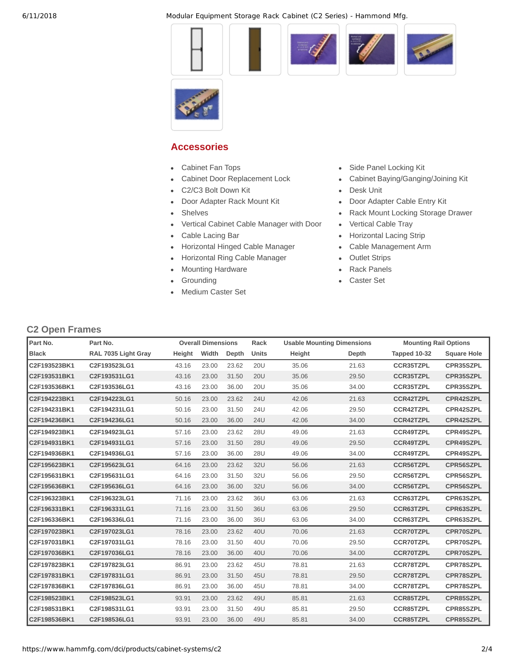6/11/2018 Modular Equipment Storage Rack Cabinet (C2 Series) - Hammond Mfg.













# **Accessories**

- $\bullet$
- $\bullet$
- [C2/C3 Bolt Down Kit](https://www.hammfg.com/dci/products/accessories/cbdk4?referer=197) **[Desk Unit](https://www.hammfg.com/dci/products/accessories/cwx?referer=197)**  $\bullet$
- [Door Adapter Rack Mount Kit](https://www.hammfg.com/dci/products/accessories/cba?referer=197) **· · · · · · · · [Door Adapter Cable Entry Kit](https://www.hammfg.com/dci/products/accessories/cce?referer=197)**
- 
- [Vertical Cabinet Cable Manager with Door](https://www.hammfg.com/dci/products/accessories/vcmds?referer=197) [Vertical Cable Tray](https://www.hammfg.com/dci/products/accessories/vct?referer=197)
- 
- [Horizontal Hinged Cable Manager](https://www.hammfg.com/dci/products/accessories/pcmdd?referer=197) [Cable Management Arm](https://www.hammfg.com/dci/products/accessories/cguide?referer=197)
- [Horizontal Ring Cable Manager](https://www.hammfg.com/dci/products/accessories/rb-hrm?referer=197) [Outlet Strips](https://www.hammfg.com/dci/products/accessories/outlet-strips?referer=197)
- [Mounting Hardware](https://www.hammfg.com/dci/products/accessories/mounting-hardware?referer=197) **Access Contact Access [Rack Panels](https://www.hammfg.com/dci/products/accessories/panels?referer=197)**
- $\bullet$
- [Medium Caster Set](https://www.hammfg.com/dci/products/accessories/ccst?referer=197)
- [Cabinet Fan Tops](https://www.hammfg.com/dci/products/accessories/c2tf?referer=197) **[Side Panel Locking Kit](https://www.hammfg.com/dci/products/accessories/cspqtrl?referer=197)**
- [Cabinet Door Replacement Lock](https://www.hammfg.com/dci/products/accessories/cdqtrl?referer=197) **[Cabinet Baying/Ganging/Joining Kit](https://www.hammfg.com/dci/products/accessories/cgh01?referer=197)** 
	-
	-
- [Shelves](https://www.hammfg.com/dci/products/accessories/shelves?referer=197) **[Rack Mount Locking Storage Drawer](https://www.hammfg.com/dci/products/accessories/rdrw?referer=197) Rack Mount Locking Storage Drawer** 
	-
- [Cable Lacing Bar](https://www.hammfg.com/dci/products/accessories/clb?referer=197) **[Horizontal Lacing Strip](https://www.hammfg.com/dci/products/accessories/hcm?referer=197)** 
	-
	-
	-
	- [Grounding](https://www.hammfg.com/dci/products/accessories/grounding?referer=197) **[Caster Set](https://www.hammfg.com/dci/products/accessories/1425b?referer=197)**

# **C2 Open Frames**

| Part No.     | Part No.            |        | <b>Overall Dimensions</b> |       | Rack       | <b>Usable Mounting Dimensions</b> |       | <b>Mounting Rail Options</b> |                    |
|--------------|---------------------|--------|---------------------------|-------|------------|-----------------------------------|-------|------------------------------|--------------------|
| <b>Black</b> | RAL 7035 Light Gray | Height | Width                     | Depth | Units      | Height                            | Depth | Tapped 10-32                 | <b>Square Hole</b> |
| C2F193523BK1 | C2F193523LG1        | 43.16  | 23.00                     | 23.62 | <b>20U</b> | 35.06                             | 21.63 | <b>CCR35TZPL</b>             | CPR35SZPL          |
| C2F193531BK1 | C2F193531LG1        | 43.16  | 23.00                     | 31.50 | <b>20U</b> | 35.06                             | 29.50 | <b>CCR35TZPL</b>             | CPR35SZPL          |
| C2F193536BK1 | C2F193536LG1        | 43.16  | 23.00                     | 36.00 | <b>20U</b> | 35.06                             | 34.00 | <b>CCR35TZPL</b>             | CPR35SZPL          |
| C2F194223BK1 | C2F194223LG1        | 50.16  | 23.00                     | 23.62 | <b>24U</b> | 42.06                             | 21.63 | <b>CCR42TZPL</b>             | CPR42SZPL          |
| C2F194231BK1 | C2F194231LG1        | 50.16  | 23.00                     | 31.50 | <b>24U</b> | 42.06                             | 29.50 | <b>CCR42TZPL</b>             | CPR42SZPL          |
| C2F194236BK1 | C2F194236LG1        | 50.16  | 23.00                     | 36.00 | <b>24U</b> | 42.06                             | 34.00 | <b>CCR42TZPL</b>             | CPR42SZPL          |
| C2F194923BK1 | C2F194923LG1        | 57.16  | 23.00                     | 23.62 | 28U        | 49.06                             | 21.63 | <b>CCR49TZPL</b>             | CPR49SZPL          |
| C2F194931BK1 | C2F194931LG1        | 57.16  | 23.00                     | 31.50 | <b>28U</b> | 49.06                             | 29.50 | <b>CCR49TZPL</b>             | CPR49SZPL          |
| C2F194936BK1 | C2F194936LG1        | 57.16  | 23.00                     | 36.00 | 28U        | 49.06                             | 34.00 | <b>CCR49TZPL</b>             | CPR49SZPL          |
| C2F195623BK1 | C2F195623LG1        | 64.16  | 23.00                     | 23.62 | 32U        | 56.06                             | 21.63 | <b>CCR56TZPL</b>             | CPR56SZPL          |
| C2F195631BK1 | C2F195631LG1        | 64.16  | 23.00                     | 31.50 | 32U        | 56.06                             | 29.50 | <b>CCR56TZPL</b>             | CPR56SZPL          |
| C2F195636BK1 | C2F195636LG1        | 64.16  | 23.00                     | 36.00 | 32U        | 56.06                             | 34.00 | <b>CCR56TZPL</b>             | CPR56SZPL          |
| C2F196323BK1 | C2F196323LG1        | 71.16  | 23.00                     | 23.62 | 36U        | 63.06                             | 21.63 | <b>CCR63TZPL</b>             | CPR63SZPL          |
| C2F196331BK1 | C2F196331LG1        | 71.16  | 23.00                     | 31.50 | 36U        | 63.06                             | 29.50 | <b>CCR63TZPL</b>             | CPR63SZPL          |
| C2F196336BK1 | C2F196336LG1        | 71.16  | 23.00                     | 36.00 | 36U        | 63.06                             | 34.00 | <b>CCR63TZPL</b>             | CPR63SZPL          |
| C2F197023BK1 | C2F197023LG1        | 78.16  | 23.00                     | 23.62 | 40U        | 70.06                             | 21.63 | <b>CCR70TZPL</b>             | CPR70SZPL          |
| C2F197031BK1 | C2F197031LG1        | 78.16  | 23.00                     | 31.50 | 40U        | 70.06                             | 29.50 | <b>CCR70TZPL</b>             | CPR70SZPL          |
| C2F197036BK1 | C2F197036LG1        | 78.16  | 23.00                     | 36.00 | 40U        | 70.06                             | 34.00 | <b>CCR70TZPL</b>             | CPR70SZPL          |
| C2F197823BK1 | C2F197823LG1        | 86.91  | 23.00                     | 23.62 | 45U        | 78.81                             | 21.63 | <b>CCR78TZPL</b>             | CPR78SZPL          |
| C2F197831BK1 | C2F197831LG1        | 86.91  | 23.00                     | 31.50 | 45U        | 78.81                             | 29.50 | <b>CCR78TZPL</b>             | CPR78SZPL          |
| C2F197836BK1 | C2F197836LG1        | 86.91  | 23.00                     | 36.00 | 45U        | 78.81                             | 34.00 | <b>CCR78TZPL</b>             | CPR78SZPL          |
| C2F198523BK1 | C2F198523LG1        | 93.91  | 23.00                     | 23.62 | 49U        | 85.81                             | 21.63 | <b>CCR85TZPL</b>             | CPR85SZPL          |
| C2F198531BK1 | C2F198531LG1        | 93.91  | 23.00                     | 31.50 | 49U        | 85.81                             | 29.50 | <b>CCR85TZPL</b>             | CPR85SZPL          |
| C2F198536BK1 | C2F198536LG1        | 93.91  | 23.00                     | 36.00 | 49U        | 85.81                             | 34.00 | <b>CCR85TZPL</b>             | CPR85SZPL          |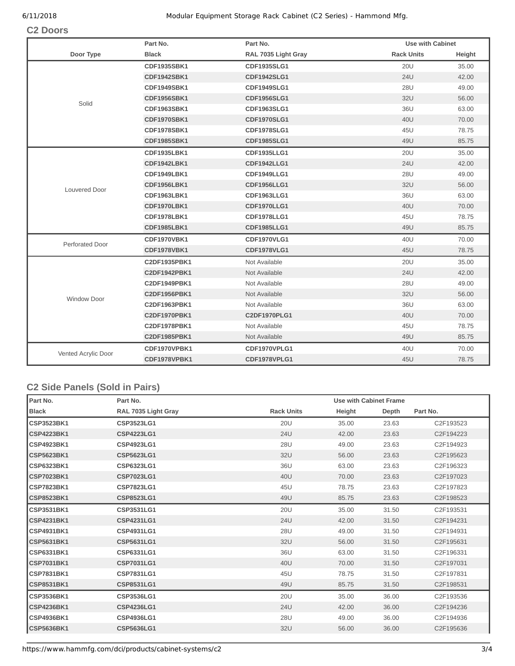#### 6/11/2018 Modular Equipment Storage Rack Cabinet (C2 Series) - Hammond Mfg.

### **C2 Doors**

|                      | Part No.           | Part No.            | <b>Use with Cabinet</b> |        |
|----------------------|--------------------|---------------------|-------------------------|--------|
| Door Type            | <b>Black</b>       | RAL 7035 Light Gray | <b>Rack Units</b>       | Height |
|                      | CDF1935SBK1        | CDF1935SLG1         | <b>20U</b>              | 35.00  |
|                      | CDF1942SBK1        | <b>CDF1942SLG1</b>  | <b>24U</b>              | 42.00  |
|                      | CDF1949SBK1        | <b>CDF1949SLG1</b>  | <b>28U</b>              | 49.00  |
| Solid                | <b>CDF1956SBK1</b> | <b>CDF1956SLG1</b>  | 32U                     | 56.00  |
|                      | <b>CDF1963SBK1</b> | CDF1963SLG1         | 36U                     | 63.00  |
|                      | <b>CDF1970SBK1</b> | <b>CDF1970SLG1</b>  | 40U                     | 70.00  |
|                      | <b>CDF1978SBK1</b> | <b>CDF1978SLG1</b>  | 45U                     | 78.75  |
|                      | <b>CDF1985SBK1</b> | <b>CDF1985SLG1</b>  | 49U                     | 85.75  |
|                      | <b>CDF1935LBK1</b> | <b>CDF1935LLG1</b>  | <b>20U</b>              | 35.00  |
|                      | CDF1942LBK1        | <b>CDF1942LLG1</b>  | <b>24U</b>              | 42.00  |
|                      | CDF1949LBK1        | CDF1949LLG1         | 28U                     | 49.00  |
| <b>Louvered Door</b> | <b>CDF1956LBK1</b> | <b>CDF1956LLG1</b>  | 32U                     | 56.00  |
|                      | <b>CDF1963LBK1</b> | CDF1963LLG1         | 36U                     | 63.00  |
|                      | <b>CDF1970LBK1</b> | <b>CDF1970LLG1</b>  | 40U                     | 70.00  |
|                      | <b>CDF1978LBK1</b> | <b>CDF1978LLG1</b>  | 45U                     | 78.75  |
|                      | <b>CDF1985LBK1</b> | <b>CDF1985LLG1</b>  | 49U                     | 85.75  |
| Perforated Door      | <b>CDF1970VBK1</b> | <b>CDF1970VLG1</b>  | 40U                     | 70.00  |
|                      | <b>CDF1978VBK1</b> | <b>CDF1978VLG1</b>  | 45U                     | 78.75  |
|                      | C2DF1935PBK1       | Not Available       | <b>20U</b>              | 35.00  |
|                      | C2DF1942PBK1       | Not Available       | <b>24U</b>              | 42.00  |
|                      | C2DF1949PBK1       | Not Available       | <b>28U</b>              | 49.00  |
| <b>Window Door</b>   | C2DF1956PBK1       | Not Available       | 32U                     | 56.00  |
|                      | C2DF1963PBK1       | Not Available       | 36U                     | 63.00  |
|                      | C2DF1970PBK1       | C2DF1970PLG1        | 40U                     | 70.00  |
|                      | C2DF1978PBK1       | Not Available       | 45U                     | 78.75  |
|                      | C2DF1985PBK1       | Not Available       | 49U                     | 85.75  |
| Vented Acrylic Door  | CDF1970VPBK1       | CDF1970VPLG1        | 40U                     | 70.00  |
|                      | CDF1978VPBK1       | CDF1978VPLG1        | 45U                     | 78.75  |

# **C2 Side Panels (Sold in Pairs)**

| Part No.          | Part No.            |                   | Use with Cabinet Frame |       |           |
|-------------------|---------------------|-------------------|------------------------|-------|-----------|
| <b>Black</b>      | RAL 7035 Light Gray | <b>Rack Units</b> | Height                 | Depth | Part No.  |
| <b>CSP3523BK1</b> | CSP3523LG1          | <b>20U</b>        | 35.00                  | 23.63 | C2F193523 |
| <b>CSP4223BK1</b> | <b>CSP4223LG1</b>   | <b>24U</b>        | 42.00                  | 23.63 | C2F194223 |
| CSP4923BK1        | CSP4923LG1          | 28U               | 49.00                  | 23.63 | C2F194923 |
| <b>CSP5623BK1</b> | <b>CSP5623LG1</b>   | 32U               | 56.00                  | 23.63 | C2F195623 |
| <b>CSP6323BK1</b> | <b>CSP6323LG1</b>   | 36U               | 63.00                  | 23.63 | C2F196323 |
| <b>CSP7023BK1</b> | <b>CSP7023LG1</b>   | 40U               | 70.00                  | 23.63 | C2F197023 |
| CSP7823BK1        | <b>CSP7823LG1</b>   | 45U               | 78.75                  | 23.63 | C2F197823 |
| CSP8523BK1        | <b>CSP8523LG1</b>   | 49U               | 85.75                  | 23.63 | C2F198523 |
| <b>CSP3531BK1</b> | CSP3531LG1          | <b>20U</b>        | 35.00                  | 31.50 | C2F193531 |
| <b>CSP4231BK1</b> | <b>CSP4231LG1</b>   | <b>24U</b>        | 42.00                  | 31.50 | C2F194231 |
| <b>CSP4931BK1</b> | CSP4931LG1          | 28U               | 49.00                  | 31.50 | C2F194931 |
| <b>CSP5631BK1</b> | <b>CSP5631LG1</b>   | 32U               | 56.00                  | 31.50 | C2F195631 |
| <b>CSP6331BK1</b> | CSP6331LG1          | 36U               | 63.00                  | 31.50 | C2F196331 |
| <b>CSP7031BK1</b> | <b>CSP7031LG1</b>   | 40U               | 70.00                  | 31.50 | C2F197031 |
| CSP7831BK1        | CSP7831LG1          | 45U               | 78.75                  | 31.50 | C2F197831 |
| <b>CSP8531BK1</b> | CSP8531LG1          | 49U               | 85.75                  | 31.50 | C2F198531 |
| <b>CSP3536BK1</b> | CSP3536LG1          | <b>20U</b>        | 35.00                  | 36.00 | C2F193536 |
| <b>CSP4236BK1</b> | <b>CSP4236LG1</b>   | <b>24U</b>        | 42.00                  | 36.00 | C2F194236 |
| <b>CSP4936BK1</b> | CSP4936LG1          | 28U               | 49.00                  | 36.00 | C2F194936 |
| <b>CSP5636BK1</b> | <b>CSP5636LG1</b>   | 32U               | 56.00                  | 36.00 | C2F195636 |